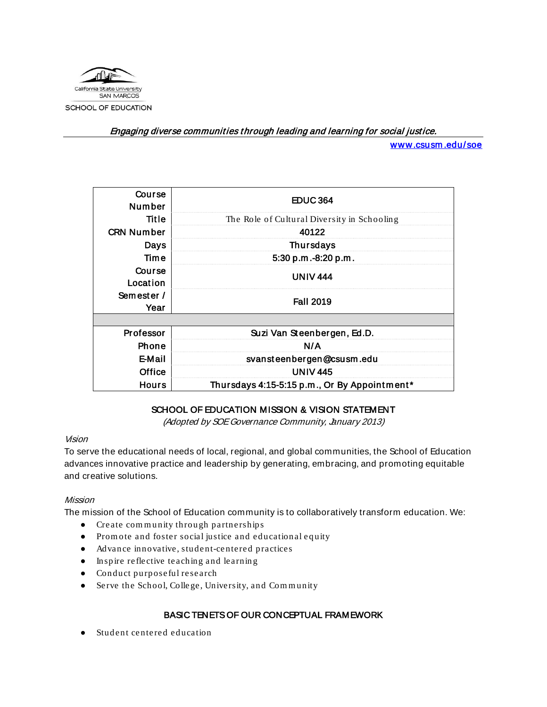

Engaging diverse communities through leading and learning for social justice.

[www.csusm .edu/soe](http://www.csusm.edu/soe) 

| Course<br><b>Number</b> | <b>EDUC364</b>                               |  |
|-------------------------|----------------------------------------------|--|
| Title                   | The Role of Cultural Diversity in Schooling  |  |
| <b>CRN Number</b>       | 40122                                        |  |
| <b>Days</b>             | <b>Thursdays</b>                             |  |
| Time                    | 5:30 p.m.-8:20 p.m.                          |  |
| Course<br>Location      | <b>UNIV 444</b>                              |  |
| Semester /<br>Year      | <b>Fall 2019</b>                             |  |
|                         |                                              |  |
| Professor               | Suzi Van Steenbergen, Ed.D.                  |  |
| Phone                   | N/A                                          |  |
| E-Mail                  | svansteenbergen@csusm.edu                    |  |
| Office                  | <b>UNIV 445</b>                              |  |
| <b>Hours</b>            | Thursdays 4:15-5:15 p.m., Or By Appointment* |  |

## SCHOOL OF EDUCATION MISSION & VISION STATEMENT

(Adopted by SOE Governance Community, January 2013)

#### Vision

To serve the educational needs of local, regional, and global communities, the School of Education advances innovative practice and leadership by generating, embracing, and promoting equitable and creative solutions.

#### Mission

The mission of the School of Education community is to collaboratively transform education. We:

- Create com m unity throu gh partnerships
- Promote and foster social justice and educational equity
- Advance innovative, student-centered practices
- Inspire reflective teaching and learnin g
- Conduct purposeful research
- Serve the School, Colle ge, University, and Com m unity

## BASIC TENETS OF OUR CONCEPTUAL FRAMEWORK

Student centered education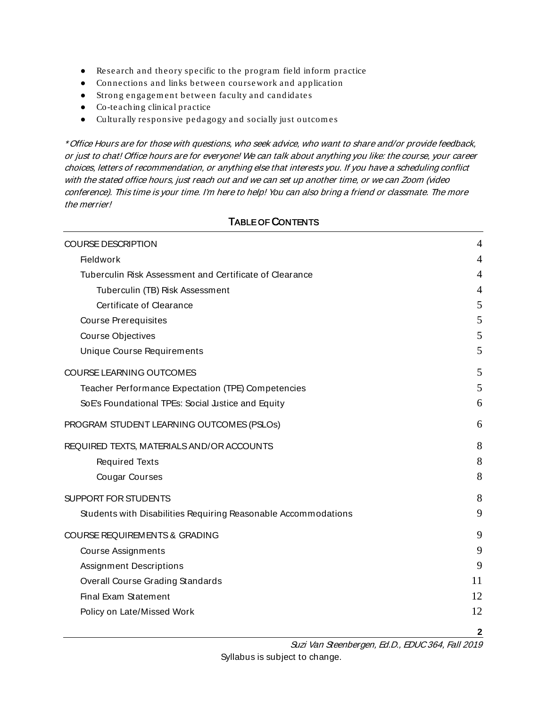- Research and theory specific to the program field inform practice
- Connections and links between coursework and application
- Strong en gagem ent between faculty and candidate s
- Co-teachin g clinical practice
- Culturally responsive pedagogy and socially just outcom es

\* Office Hours are for those with questions, who seek advice, who want to share and/or provide feedback, or just to chat! Office hours are for everyone! We can talk about anything you like: the course, your career choices, letters of recommendation, or anything else that interests you. If you have a scheduling conflict with the stated office hours, just reach out and we can set up another time, or we can Zoom (video conference). This time is your time. I'm here to help! You can also bring a friend or classmate. The more the merrier!

# **2** [COURSE DESCRIPTION](#page-3-0) 4 [Fieldwork](#page-3-1) 4 [Tuberculin Risk Assessment and Certificate of Clearance](#page-3-2) 4 [Tuberculin \(TB\) Risk Assessment](#page-3-3) 4 **[Certificate of Clearance](#page-4-0) 5 and 2008 Certificate of Clearance 5 and 3 [Course Prerequisites](#page-4-1) 5**  $\frac{1}{5}$  [Course Objectives](#page-4-2)  $\frac{1}{5}$ [Unique Course Requirements](#page-4-3) 5 [COURSE LEARNING OUTCOMES](#page-4-4) 5 [Teacher Performance Expectation \(TPE\) Competencies](#page-4-5) 5 [SoE's Foundational TPEs: Social Justice and Equity](#page-5-0) 6 [PROGRAM STUDENT LEARNING OUTCOMES \(PSLOs\)](#page-5-1) 6 [REQUIRED TEXTS, MATERIALS AND/OR ACCOUNTS](#page-7-0) 8 [Required Texts](#page-7-1) 8 [Cougar Courses](#page-7-2) 8 [SUPPORT FOR STUDENTS](#page-7-3) 8 [Students with Disabilities Requiring Reasonable Accommodations](#page-8-0) 9 [COURSE REQUIREMENTS & GRADING](#page-8-1) 9 [Course Assignments](#page-8-2) 9 [Assignment Descriptions](#page-8-3) 600 per contract to the set of the set of the set of the set of the set of the set of the set of the set of the set of the set of the set of the set of the set of the set of the set of the set of th [Overall Course Grading Standards](#page-10-0) 11 [Final Exam Statement](#page-11-0)  $\,$  12  $\,$ [Policy on Late/Missed Work](#page-11-1) 12

TABLE OF CONTENTS

Suzi Van Steenbergen, Ed.D., EDUC 364, Fall 2019 Syllabus is subject to change.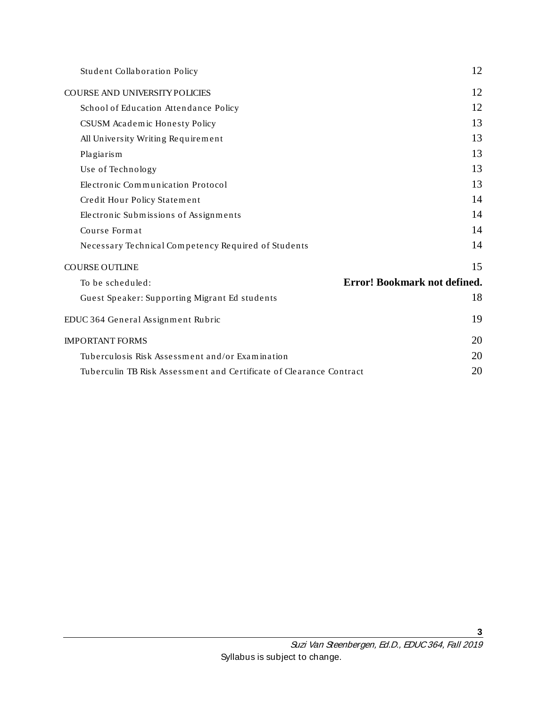| Student Collaboration Policy                                        | 12                           |
|---------------------------------------------------------------------|------------------------------|
| <b>COURSE AND UNIVERSITY POLICIES</b>                               | 12                           |
| School of Education Attendance Policy                               | 12                           |
| CSUSM Academic Honesty Policy                                       | 13                           |
| All University Writing Requirement                                  | 13                           |
| Plagiarism                                                          | 13                           |
| Use of Technology                                                   | 13                           |
| Electronic Communication Protocol                                   | 13                           |
| Credit Hour Policy Statement                                        | 14                           |
| Electronic Submissions of Assignments                               | 14                           |
| Course Format                                                       | 14                           |
| Necessary Technical Competency Required of Students                 | 14                           |
| <b>COURSE OUTLINE</b>                                               | 15                           |
| To be scheduled:                                                    | Error! Bookmark not defined. |
| Guest Speaker: Supporting Migrant Ed students                       | 18                           |
| EDUC 364 General Assignment Rubric                                  | 19                           |
| <b>IMPORTANT FORMS</b>                                              | 20                           |
| Tuberculosis Risk Assessment and/or Examination                     | 20                           |
| Tuberculin TB Risk Assessment and Certificate of Clearance Contract | 20                           |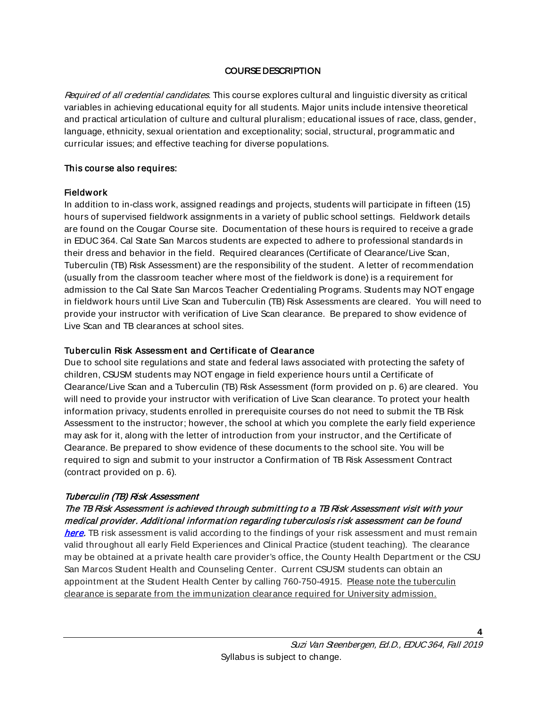## COURSE DESCRIPTION

<span id="page-3-0"></span>Required of all credential candidates. This course explores cultural and linguistic diversity as critical variables in achieving educational equity for all students. Major units include intensive theoretical and practical articulation of culture and cultural pluralism; educational issues of race, class, gender, language, ethnicity, sexual orientation and exceptionality; social, structural, programmatic and curricular issues; and effective teaching for diverse populations.

#### This course also requires:

#### <span id="page-3-1"></span>**Fieldwork**

In addition to in-class work, assigned readings and projects, students will participate in fifteen (15) hours of supervised fieldwork assignments in a variety of public school settings. Fieldwork details are found on the Cougar Course site. Documentation of these hours is required to receive a grade in EDUC 364. Cal State San Marcos students are expected to adhere to professional standards in their dress and behavior in the field. Required clearances (Certificate of Clearance/Live Scan, Tuberculin (TB) Risk Assessment) are the responsibility of the student. A letter of recommendation (usually from the classroom teacher where most of the fieldwork is done) is a requirement for admission to the Cal State San Marcos Teacher Credentialing Programs. Students may NOT engage in fieldwork hours until Live Scan and Tuberculin (TB) Risk Assessments are cleared. You will need to provide your instructor with verification of Live Scan clearance. Be prepared to show evidence of Live Scan and TB clearances at school sites.

#### <span id="page-3-2"></span>Tuberculin Risk Assessment and Certificate of Clearance

Due to school site regulations and state and federal laws associated with protecting the safety of children, CSUSM students may NOT engage in field experience hours until a Certificate of Clearance/Live Scan and a Tuberculin (TB) Risk Assessment (form provided on p. 6) are cleared. You will need to provide your instructor with verification of Live Scan clearance. To protect your health information privacy, students enrolled in prerequisite courses do not need to submit the TB Risk Assessment to the instructor; however, the school at which you complete the early field experience may ask for it, along with the letter of introduction from your instructor, and the Certificate of Clearance. Be prepared to show evidence of these documents to the school site. You will be required to sign and submit to your instructor a Confirmation of TB Risk Assessment Contract (contract provided on p. 6).

## <span id="page-3-3"></span>Tuberculin (TB) Risk Assessment

## The TB Risk Assessment is achieved through submit ting to a TB Risk Assessment visit with your medical provider. Additional information regarding tuberculosis risk assessment can be found

[here.](https://ctca2015.iescentral.com/filelibrary/TBCB-CA-School-Staff-Volunteer-TB-Risk-Assessment.pdf) TB risk assessment is valid according to the findings of your risk assessment and must remain valid throughout all early Field Experiences and Clinical Practice (student teaching). The clearance may be obtained at a private health care provider's office, the County Health Department or the CSU San Marcos Student Health and Counseling Center. Current CSUSM students can obtain an appointment at the Student Health Center by calling 760-750-4915. Please note the tuberculin clearance is separate from the immunization clearance required for University admission.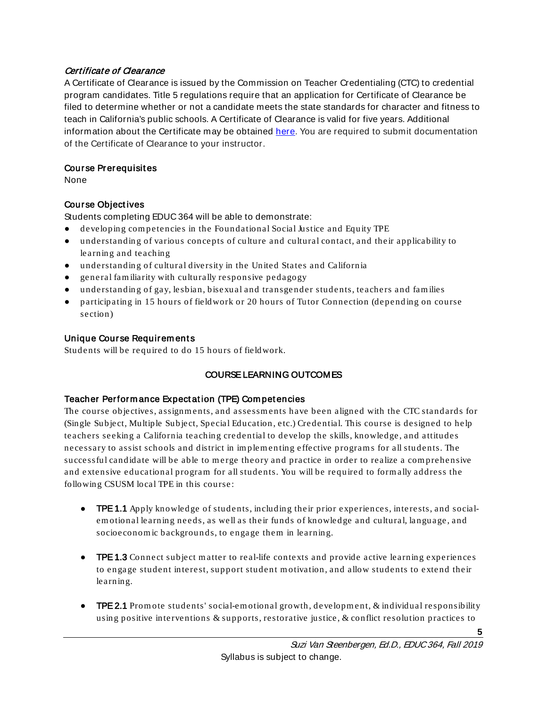## <span id="page-4-0"></span>Certificate of Clearance

A Certificate of Clearance is issued by the Commission on Teacher Credentialing (CTC) to credential program candidates. Title 5 regulations require that an application for Certificate of Clearance be filed to determine whether or not a candidate meets the state standards for character and fitness to teach in California's public schools. A Certificate of Clearance is valid for five years. Additional information about the Certificate may be obtained [here.](https://www.csusm.edu/soe/documents/currentstudents/formsandresources/credential/certificate_of_clearance.pdf) You are required to submit documentation of the Certificate of Clearance to your instructor.

## <span id="page-4-1"></span>Course Prerequisit es

None

## <span id="page-4-2"></span>Course Object ives

Students completing EDUC 364 will be able to demonstrate:

- developing com petencies in the Foundational Social Justice and Equity TPE
- understandin g of various concepts of culture and cultural con tact, and their applicability to learning an d teaching
- understandin g of cultural diversity in the United States and California
- general fam iliarity with culturally responsive pedagogy
- understandin g of gay, lesbian, bisexu al and transge nder students, teachers and fam ilies
- participating in 15 hours of fieldwork or 20 hours of Tutor Connection (depending on course section)

## <span id="page-4-3"></span>Unique Course Requirem ents

<span id="page-4-4"></span>Students will be required to do 15 hours of fieldwork.

## COURSE LEARNING OUTCOMES

## <span id="page-4-5"></span>Teacher Perform ance Expect at ion (TPE) Com pet encies

The course objectives, assignments, and assessments have been aligned with the CTC standards for (Single Subject, Multiple Subject, Special Education , etc.) Credential. This course is designed to help teachers seeking a California teachin g credential to develop the skills, knowledge, and attitudes necessary to assist schools and district in im plem en ting effective program s for all students. The successful candidate will be able to merge theory and practice in order to realize a comprehensive and extensive educational program for all students. You will be required to form ally address the followin g CSUSM local TPE in this course:

- **TPE 1.1** Apply knowledge of students, including their prior experiences, interests, and socialemotional learning needs, as well as their funds of knowledge and cultural, language, and socioeconomic backgrounds, to engage them in learning.
- **•** TPE 1.3 Connect subject matter to real-life contexts and provide active learning experiences to engage student interest, support student motivation, and allow students to extend their learning.
- **TPE 2.1** Promote students' social-emotional growth, development, & individual responsibility using positive interventions & supports, restorative justice, & conflict resolution practices to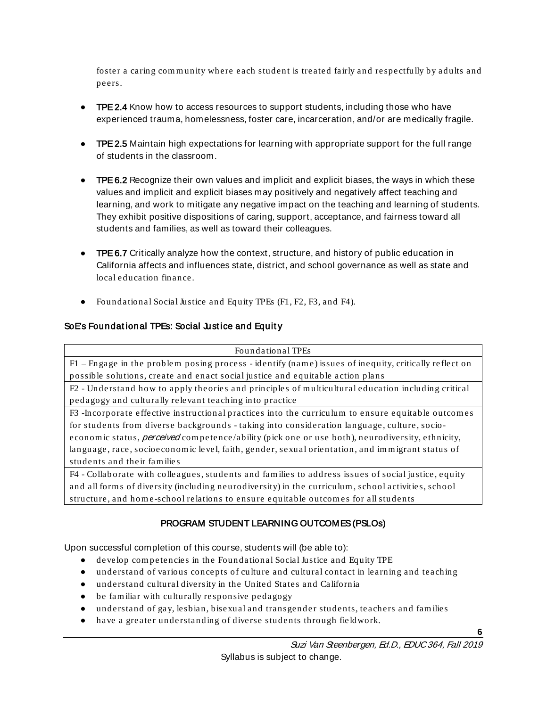foster a caring community where each student is treated fairly and respectfully by adults and peers.

- TPE 2.4 Know how to access resources to support students, including those who have experienced trauma, homelessness, foster care, incarceration, and/or are medically fragile.
- TPE 2.5 Maintain high expectations for learning with appropriate support for the full range of students in the classroom.
- TPE 6.2 Recognize their own values and implicit and explicit biases, the ways in which these values and implicit and explicit biases may positively and negatively affect teaching and learning, and work to mitigate any negative impact on the teaching and learning of students. They exhibit positive dispositions of caring, support, acceptance, and fairness toward all students and families, as well as toward their colleagues.
- **TPE 6.7** Critically analyze how the context, structure, and history of public education in California affects and influences state, district, and school governance as well as state and local education fin ance.
- Foundational Social Justice and Equity TPEs (F1, F2, F3, and F4).

## <span id="page-5-0"></span>SoE's Foundational TPEs: Social Justice and Equity

#### Foundational TPEs

F1 – Engage in the proble m posing process - identify (nam e) issues of inequity, critically reflect on possible solutions, create and enact social justice and equitable action plans

F2 - Understand how to apply theories and principles of m ulticultural education including critical pedagogy and culturally relevant teaching in to practice

F3 -Incorporate effective instruction al practices into the curriculum to ensure equitable outcom es for students from diverse backgrounds - taking into consideration language, culture, socioeconomic status, *perceived* competence/ability (pick one or use both), neurodiversity, ethnicity, language, race, socioeconomic level, faith, gender, sexual orientation, and immigrant status of students and their fam ilie s

F4 - Collab orate with colle agues, studen ts and fam ilies to address issues of social justice, equity and all form s of diversity (including neurodiversity) in the curriculum , school activities, school structure, and home-school relations to ensure equitable outcomes for all students

## PROGRAM STUDENT LEARNING OUTCOMES (PSLOs)

<span id="page-5-1"></span>Upon successful completion of this course, students will (be able to):

- develop com petencies in the Foundational Social Justice and Equity TPE
- understand of various concepts of culture and cultural contact in learning and teaching
- understand cultural diversity in the United States and California
- be fam iliar with culturally responsive pedagogy
- understand of gay, lesbian, bisexual and transgender students, teachers and families
- have a greater understan ding of diverse students through fieldwork.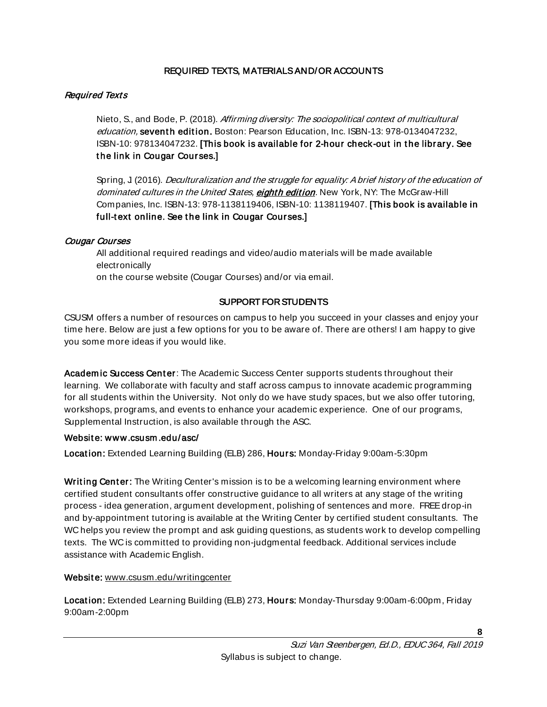## REQUIRED TEXTS, MATERIALS AND/OR ACCOUNTS

## <span id="page-7-1"></span><span id="page-7-0"></span>Required Texts

Nieto, S., and Bode, P. (2018). Affirming diversity: The sociopolitical context of multicultural education, seventh edition. Boston: Pearson Education, Inc. ISBN-13: 978-0134047232, ISBN-10: 978134047232. [This book is available for 2-hour check-out in t he library. See t he link in Cougar Courses.]

Spring, J. (2016). *Deculturalization and the struggle for equality: A brief history of the education of* dominated cultures in the United States, eighth edition. New York, NY: The McGraw-Hill Companies, Inc. ISBN-13: 978-1138119406, ISBN-10: 1138119407. [This book is available in full-text online. See the link in Cougar Courses.]

## <span id="page-7-2"></span>Cougar Courses

All additional required readings and video/audio materials will be made available electronically on the course website (Cougar Courses) and/or via email.

## SUPPORT FOR STUDENTS

<span id="page-7-3"></span>CSUSM offers a number of resources on campus to help you succeed in your classes and enjoy your time here. Below are just a few options for you to be aware of. There are others! I am happy to give you some more ideas if you would like.

Academic Success Center: The Academic Success Center supports students throughout their learning. We collaborate with faculty and staff across campus to innovate academic programming for all students within the University. Not only do we have study spaces, but we also offer tutoring, workshops, programs, and events to enhance your academic experience. One of our programs, Supplemental Instruction, is also available through the ASC.

## Websit e: [www.csusm .edu/asc/](http://www.csusm.edu/asc/)

Location: Extended Learning Building (ELB) 286, Hours: Monday-Friday 9:00am-5:30pm

Writing Center: The Writing Center's mission is to be a welcoming learning environment where certified student consultants offer constructive guidance to all writers at any stage of the writing process - idea generation, argument development, polishing of sentences and more. FREE drop-in and by-appointment tutoring is available at the Writing Center by certified student consultants. The WC helps you review the prompt and ask guiding questions, as students work to develop compelling texts. The WC is committed to providing non-judgmental feedback. Additional services include assistance with Academic English.

## Website: [www.csusm.edu/writingcenter](https://www.csusm.edu/writingcenter/)

Location: Extended Learning Building (ELB) 273, Hours: Monday-Thursday 9:00am-6:00pm, Friday 9:00am-2:00pm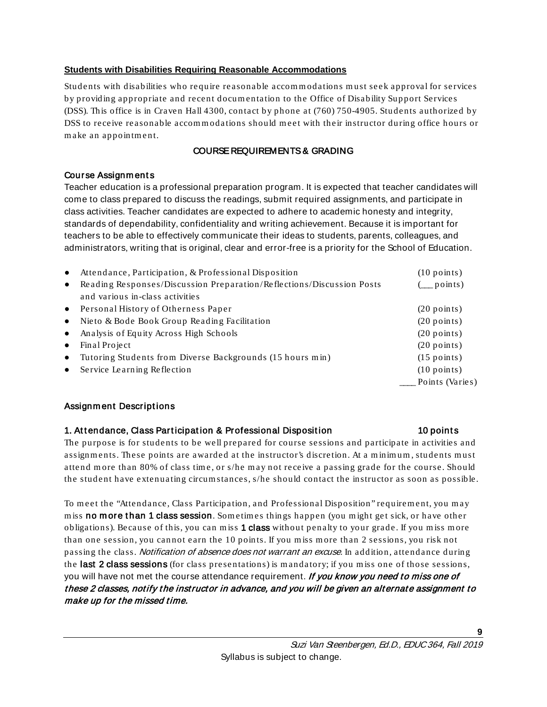## <span id="page-8-0"></span>**Students with Disabilities Requiring Reasonable Accommodations**

Students with disabilities who require reasonable accommodations must seek approval for services by providing appropriate and recent docum entation to the Office of Disability Support Services (DSS). This office is in Craven Hall 4300, con tact by p hone at (760) 750-4905. Students authorized by DSS to receive reasonable accom m odations should m eet with their instructor during office hours or m ake an appoin tm en t.

## COURSE REQUIREMENTS & GRADING

#### <span id="page-8-2"></span><span id="page-8-1"></span>Course Assignm ent s

Teacher education is a professional preparation program. It is expected that teacher candidates will come to class prepared to discuss the readings, submit required assignments, and participate in class activities. Teacher candidates are expected to adhere to academic honesty and integrity, standards of dependability, confidentiality and writing achievement. Because it is important for teachers to be able to effectively communicate their ideas to students, parents, colleagues, and administrators, writing that is original, clear and error-free is a priority for the School of Education.

| $\bullet$ | Attendance, Participation, & Professional Disposition                 | $(10$ points)         |
|-----------|-----------------------------------------------------------------------|-----------------------|
| $\bullet$ | Reading Responses/Discussion Preparation/Reflections/Discussion Posts | points)               |
|           | and various in-class activities                                       |                       |
|           | • Personal History of Otherness Paper                                 | $(20$ points)         |
| $\bullet$ | Nieto & Bode Book Group Reading Facilitation                          | $(20$ points)         |
| $\bullet$ | Analysis of Equity Across High Schools                                | $(20$ points)         |
| $\bullet$ | Final Project                                                         | $(20$ points)         |
| $\bullet$ | Tutoring Students from Diverse Backgrounds (15 hours min)             | $(15$ points)         |
| $\bullet$ | Service Learning Reflection                                           | $(10 \text{ points})$ |
|           |                                                                       | Points (Varies)       |
|           |                                                                       |                       |

## <span id="page-8-3"></span>Assignm ent Descriptions

## 1. Attendance, Class Participation & Professional Disposition 10 points

The purpose is for students to be well prepared for course sessions and participate in activities and assignments. These points are awarded at the instructor's discretion. At a minimum, students must attend more than 80% of class time, or s/he may not receive a passing grade for the course. Should the student have extenuating circum stances, s/he should contact the instructor as soon as possible.

To meet the "Attendance, Class Participation, and Professional Disposition" requirement, you may miss no more than 1 class session. Sometimes things happen (you might get sick, or have other obligations). Because of this, you can miss 1 **class** without penalty to your grade. If you miss more than one session, you cannot earn the 10 points. If you miss more than 2 sessions, you risk not passing the class. *Notification of absence does not warrant an excuse*. In addition, attendance during the last 2 class sessions (for class presentations) is mandatory; if you miss one of those sessions, you will have not met the course attendance requirement. If you know you need to miss one of these 2 classes, notify the instructor in advance, and you will be given an alternate assignment to make up for the missed time.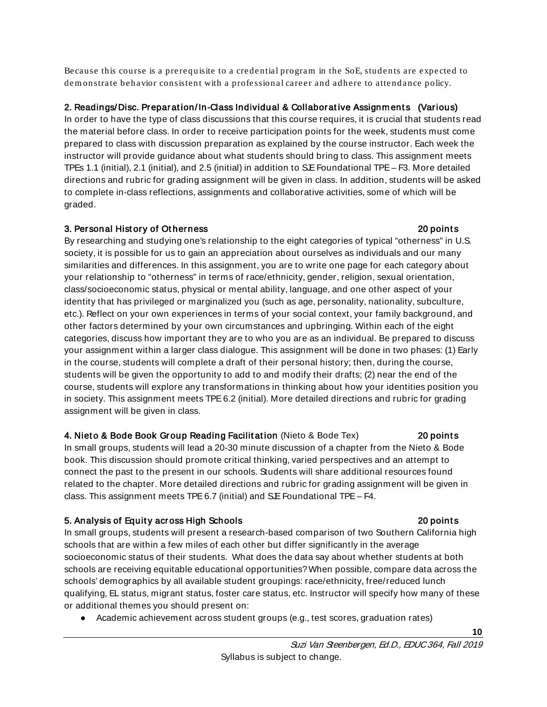Because this course is a prerequisite to a credential program in the SoE, students are expected to dem onstrate behavior consistent with a profession al career and adhere to attendance policy.

## 2. Readings/Disc. Preparation/In-Class Individual & Collaborative Assignments (Various)

In order to have the type of class discussions that this course requires, it is crucial that students read the material before class. In order to receive participation points for the week, students must come prepared to class with discussion preparation as explained by the course instructor. Each week the instructor will provide guidance about what students should bring to class. This assignment meets TPEs 1.1 (initial), 2.1 (initial), and 2.5 (initial) in addition to SE Foundational TPE – F3. More detailed directions and rubric for grading assignment will be given in class. In addition, students will be asked to complete in-class reflections, assignments and collaborative activities, some of which will be graded.

## 3. Personal Hist ory of Ot herness 20 point s

By researching and studying one's relationship to the eight categories of typical "otherness" in U.S. society, it is possible for us to gain an appreciation about ourselves as individuals and our many similarities and differences. In this assignment, you are to write one page for each category about your relationship to "otherness" in terms of race/ethnicity, gender, religion, sexual orientation, class/socioeconomic status, physical or mental ability, language, and one other aspect of your identity that has privileged or marginalized you (such as age, personality, nationality, subculture, etc.). Reflect on your own experiences in terms of your social context, your family background, and other factors determined by your own circumstances and upbringing. Within each of the eight categories, discuss how important they are to who you are as an individual. Be prepared to discuss your assignment within a larger class dialogue. This assignment will be done in two phases: (1) Early in the course, students will complete a draft of their personal history; then, during the course, students will be given the opportunity to add to and modify their drafts; (2) near the end of the course, students will explore any transformations in thinking about how your identities position you in society. This assignment meets TPE 6.2 (initial). More detailed directions and rubric for grading assignment will be given in class.

## 4. Nieto & Bode Book Group Reading Facilitation (Nieto & Bode Tex) 20 points

In small groups, students will lead a 20-30 minute discussion of a chapter from the Nieto & Bode book. This discussion should promote critical thinking, varied perspectives and an attempt to connect the past to the present in our schools. Students will share additional resources found related to the chapter. More detailed directions and rubric for grading assignment will be given in class. This assignment meets TPE 6.7 (initial) and S.E Foundational TPE - F4.

## 5. Analysis of Equity across High Schools 20 points 20 points

In small groups, students will present a research-based comparison of two Southern California high schools that are within a few miles of each other but differ significantly in the average socioeconomic status of their students. What does the data say about whether students at both schools are receiving equitable educational opportunities?When possible, compare data across the schools' demographics by all available student groupings: race/ethnicity, free/reduced lunch qualifying, EL status, migrant status, foster care status, etc. Instructor will specify how many of these or additional themes you should present on:

● Academic achievement across student groups (e.g., test scores, graduation rates)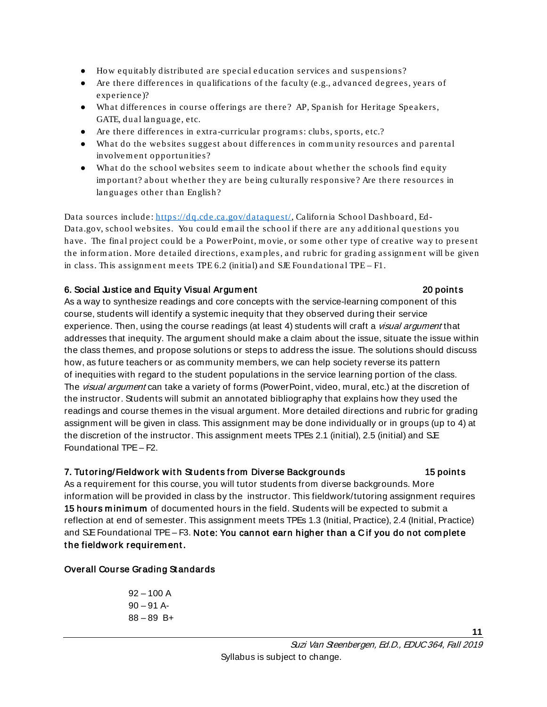- How equitably distributed are special education services and suspensions?
- Are there differences in qualifications of the faculty (e.g., advanced degrees, years of experience)?
- What differences in course offerings are there? AP, Spanish for Heritage Speakers, GATE, du al lan guage, etc.
- Are there differences in extra -curricular programs: clubs, sports, etc.?
- What do the websites suggest abou t differences in com m unity resources and parental involvem ent opportunities?
- What do the school websites seem to indicate about whether the schools find equity important? about whether they are being culturally responsive? Are there resources in langu ages other than En glish?

Data sources include: https://dq.cde.ca.gov/dataquest/, California School Dashboard, Ed-Data.gov, school websites. You could em ail the school if there are any additional questions you have. The final project could be a PowerPoint, movie, or some other type of creative way to present the information. More detailed directions, examples, and rubric for grading assignment will be given in class. This assignm ent m eets TPE 6.2 (initial) and SJE Foundational TPE – F1.

## 6. Social Justice and Equity Visual Argument **Example 20 point state and Equipment** 20 points

As a way to synthesize readings and core concepts with the service-learning component of this course, students will identify a systemic inequity that they observed during their service experience. Then, using the course readings (at least 4) students will craft a *visual argument* that addresses that inequity. The argument should make a claim about the issue, situate the issue within the class themes, and propose solutions or steps to address the issue. The solutions should discuss how, as future teachers or as community members, we can help society reverse its pattern of inequities with regard to the student populations in the service learning portion of the class. The *visual argument* can take a variety of forms (PowerPoint, video, mural, etc.) at the discretion of the instructor. Students will submit an annotated bibliography that explains how they used the readings and course themes in the visual argument. More detailed directions and rubric for grading assignment will be given in class. This assignment may be done individually or in groups (up to 4) at the discretion of the instructor. This assignment meets TPEs 2.1 (initial), 2.5 (initial) and SE Foundational TPE – F2.

## 7. Tutoring/Fieldwork with Students from Diverse Backgrounds 15 points

**11**

As a requirement for this course, you will tutor students from diverse backgrounds. More information will be provided in class by the instructor. This fieldwork/tutoring assignment requires 15 hours minimum of documented hours in the field. Students will be expected to submit a reflection at end of semester. This assignment meets TPEs 1.3 (Initial, Practice), 2.4 (Initial, Practice) and SE Foundational TPE – F3. Note: You cannot earn higher than a C if you do not complete the fieldwork requirement.

## <span id="page-10-0"></span>Overall Course Grading Standards

 $92 - 100 A$  $90 - 91$  A-88 – 89 B+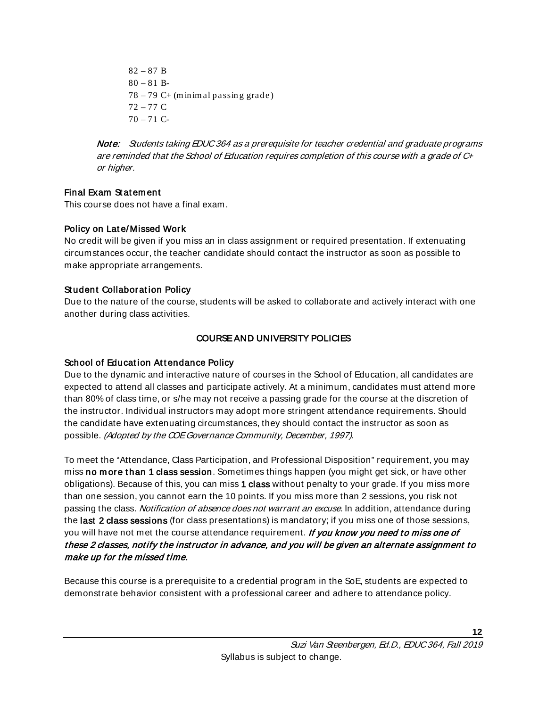$82 - 87 B$  $80 - 81 B$ - $78 - 79$  C+ (minimal passing grade) 72 – 77 C  $70 - 71$  C-

Note: Students taking EDUC 364 as a prerequisite for teacher credential and graduate programs are reminded that the School of Education requires completion of this course with a grade of C+ or higher.

## <span id="page-11-0"></span>Final Exam St at em ent

This course does not have a final exam.

## <span id="page-11-1"></span>Policy on Lat e/ Missed Work

No credit will be given if you miss an in class assignment or required presentation. If extenuating circumstances occur, the teacher candidate should contact the instructor as soon as possible to make appropriate arrangements.

## <span id="page-11-2"></span>Student Collaboration Policy

Due to the nature of the course, students will be asked to collaborate and actively interact with one another during class activities.

## COURSE AND UNIVERSITY POLICIES

## <span id="page-11-4"></span><span id="page-11-3"></span>School of Education Attendance Policy

Due to the dynamic and interactive nature of courses in the School of Education, all candidates are expected to attend all classes and participate actively. At a minimum, candidates must attend more than 80% of class time, or s/he may not receive a passing grade for the course at the discretion of the instructor. Individual instructors may adopt more stringent attendance requirements. Should the candidate have extenuating circumstances, they should contact the instructor as soon as possible. (Adopted by the COE Governance Community, December, 1997).

To meet the "Attendance, Class Participation, and Professional Disposition" requirement, you may miss no more than 1 class session. Sometimes things happen (you might get sick, or have other obligations). Because of this, you can miss 1 class without penalty to your grade. If you miss more than one session, you cannot earn the 10 points. If you miss more than 2 sessions, you risk not passing the class. *Notification of absence does not warrant an excuse*. In addition, attendance during the last 2 class sessions (for class presentations) is mandatory; if you miss one of those sessions, you will have not met the course attendance requirement. If you know you need to miss one of these 2 classes, notify the instructor in advance, and you will be given an alternate assignment to make up for the missed time.

Because this course is a prerequisite to a credential program in the SoE, students are expected to demonstrate behavior consistent with a professional career and adhere to attendance policy.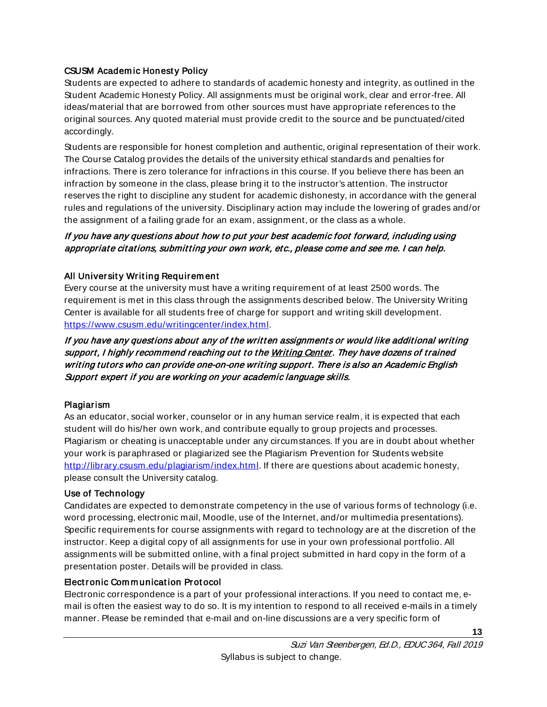## <span id="page-12-0"></span>CSUSM Academ ic Honest y Policy

Students are expected to adhere to standards of academic honesty and integrity, as outlined in the Student Academic Honesty Policy. All assignments must be original work, clear and error-free. All ideas/material that are borrowed from other sources must have appropriate references to the original sources. Any quoted material must provide credit to the source and be punctuated/cited accordingly.

Students are responsible for honest completion and authentic, original representation of their work. The Course Catalog provides the details of the university ethical standards and penalties for infractions. There is zero tolerance for infractions in this course. If you believe there has been an infraction by someone in the class, please bring it to the instructor's attention. The instructor reserves the right to discipline any student for academic dishonesty, in accordance with the general rules and regulations of the university. Disciplinary action may include the lowering of grades and/or the assignment of a failing grade for an exam, assignment, or the class as a whole.

## If you have any questions about how to put your best academic foot forward, including using appropriate citations, submitting your own work, etc., please come and see me. I can help.

## <span id="page-12-1"></span>All University Writing Requirem ent

Every course at the university must have a writing requirement of at least 2500 words. The requirement is met in this class through the assignments described below. The University Writing Center is available for all students free of charge for support and writing skill development. [https://www.csusm.edu/writingcenter/index.html.](https://www.csusm.edu/writingcenter/index.html)

If you have any questions about any of the written assignments or would like additional writing support, I highly recommend reaching out to th[e Writing Center.](https://www.csusm.edu/writingcenter/index.html) They have dozens of trained writing tutors who can provide one-on-one writing support. There is also an Academic English Support expert if you are working on your academic language skills.

## <span id="page-12-2"></span>Plagiarism

As an educator, social worker, counselor or in any human service realm, it is expected that each student will do his/her own work, and contribute equally to group projects and processes. Plagiarism or cheating is unacceptable under any circumstances. If you are in doubt about whether your work is paraphrased or plagiarized see the Plagiarism Prevention for Students website [http://library.csusm.edu/plagiarism/index.html.](http://library.csusm.edu/plagiarism/index.html) If there are questions about academic honesty, please consult the University catalog.

## <span id="page-12-3"></span>Use of Technology

Candidates are expected to demonstrate competency in the use of various forms of technology (i.e. word processing, electronic mail, Moodle, use of the Internet, and/or multimedia presentations). Specific requirements for course assignments with regard to technology are at the discretion of the instructor. Keep a digital copy of all assignments for use in your own professional portfolio. All assignments will be submitted online, with a final project submitted in hard copy in the form of a presentation poster. Details will be provided in class.

## <span id="page-12-4"></span>Elect ronic Com m unicat ion Prot ocol

Electronic correspondence is a part of your professional interactions. If you need to contact me, email is often the easiest way to do so. It is my intention to respond to all received e-mails in a timely manner. Please be reminded that e-mail and on-line discussions are a very specific form of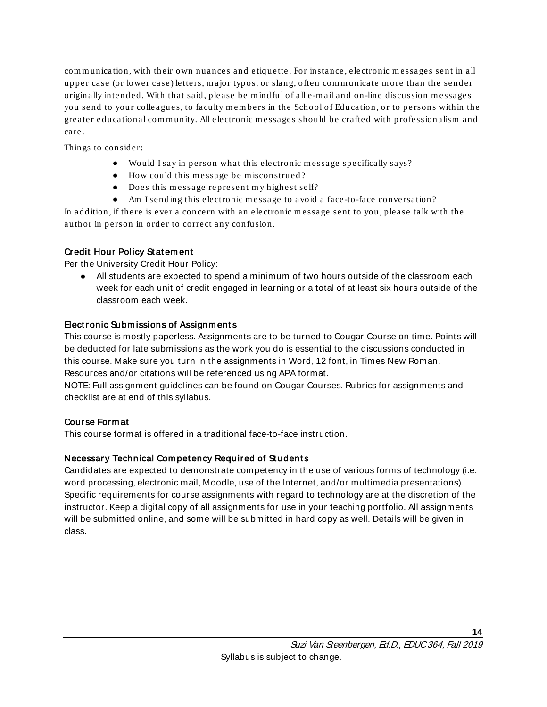communication , with their own nuances and etiquette. For instance, electronic m essages sent in all upper case (or lower case) letters, major typos, or slang, often communicate more than the sender originally intended. With that said, please be mindful of all e-mail and on-line discussion messages you send to your colleagues, to faculty members in the School of Education, or to persons within the greater educational community. All electronic messages should be crafted with professionalism and care.

Things to consider:

- Would I say in person what this electronic message specifically says?
- How could this message be misconstrued?
- Does this message represent my highest self?
- Am I sending this electronic message to avoid a face-to-face conversation?

In addition, if there is ever a concern with an electronic message sent to you, please talk with the author in person in order to correct any confusion.

## <span id="page-13-0"></span>Credit Hour Policy St at em ent

Per the University Credit Hour Policy:

● All students are expected to spend a minimum of two hours outside of the classroom each week for each unit of credit engaged in learning or a total of at least six hours outside of the classroom each week.

## <span id="page-13-1"></span>**Elect ronic Submissions of Assignments**

This course is mostly paperless. Assignments are to be turned to Cougar Course on time. Points will be deducted for late submissions as the work you do is essential to the discussions conducted in this course. Make sure you turn in the assignments in Word, 12 font, in Times New Roman. Resources and/or citations will be referenced using APA format.

NOTE: Full assignment guidelines can be found on Cougar Courses. Rubrics for assignments and checklist are at end of this syllabus.

## <span id="page-13-2"></span>Course Form at

This course format is offered in a traditional face-to-face instruction.

## <span id="page-13-3"></span>Necessary Technical Competency Required of Students

Candidates are expected to demonstrate competency in the use of various forms of technology (i.e. word processing, electronic mail, Moodle, use of the Internet, and/or multimedia presentations). Specific requirements for course assignments with regard to technology are at the discretion of the instructor. Keep a digital copy of all assignments for use in your teaching portfolio. All assignments will be submitted online, and some will be submitted in hard copy as well. Details will be given in class.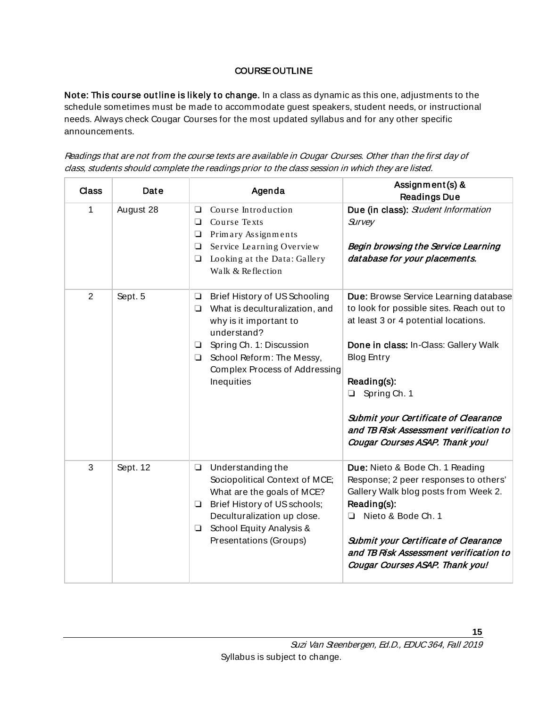## COURSE OUTLINE

<span id="page-14-0"></span>Note: This course outline is likely to change. In a class as dynamic as this one, adjustments to the schedule sometimes must be made to accommodate guest speakers, student needs, or instructional needs. Always check Cougar Courses for the most updated syllabus and for any other specific announcements.

Readings that are not from the course texts are available in Cougar Courses. Other than the first day of class, students should complete the readings prior to the class session in which they are listed.

| Class | Date      | Agenda                                                                                                                                                                                                                                                          | Assignment(s) &<br><b>Readings Due</b>                                                                                                                                                                                                                                                                                                             |
|-------|-----------|-----------------------------------------------------------------------------------------------------------------------------------------------------------------------------------------------------------------------------------------------------------------|----------------------------------------------------------------------------------------------------------------------------------------------------------------------------------------------------------------------------------------------------------------------------------------------------------------------------------------------------|
| 1     | August 28 | Course Introduction<br>$\Box$<br>Course Texts<br>❏<br>Primary Assignments<br>$\Box$<br>Service Learning Overview<br>$\Box$<br>Looking at the Data: Gallery<br>$\Box$<br>Walk & Reflection                                                                       | Due (in class): Student Information<br>Survey<br>Begin browsing the Service Learning<br>database for your placements.                                                                                                                                                                                                                              |
| 2     | Sept. 5   | Brief History of US Schooling<br>$\Box$<br>What is deculturalization, and<br>$\Box$<br>why is it important to<br>understand?<br>Spring Ch. 1: Discussion<br>$\Box$<br>School Reform: The Messy,<br>$\Box$<br><b>Complex Process of Addressing</b><br>Inequities | Due: Browse Service Learning database<br>to look for possible sites. Reach out to<br>at least 3 or 4 potential locations.<br>Done in class: In-Class: Gallery Walk<br><b>Blog Entry</b><br>Reading(s):<br>Spring Ch. 1<br><b>Submit your Certificate of Clearance</b><br>and TB Risk Assessment verification to<br>Cougar Courses ASAP. Thank you! |
| 3     | Sept. 12  | Understanding the<br>$\Box$<br>Sociopolitical Context of MCE;<br>What are the goals of MCE?<br>Brief History of US schools;<br>❏<br>Deculturalization up close.<br>School Equity Analysis &<br>$\Box$<br>Presentations (Groups)                                 | Due: Nieto & Bode Ch. 1 Reading<br>Response; 2 peer responses to others'<br>Gallery Walk blog posts from Week 2.<br>Reading(s):<br>Nieto & Bode Ch. 1<br>❏<br><b>Submit your Certificate of Clearance</b><br>and TB Risk Assessment verification to<br>Cougar Courses ASAP. Thank you!                                                             |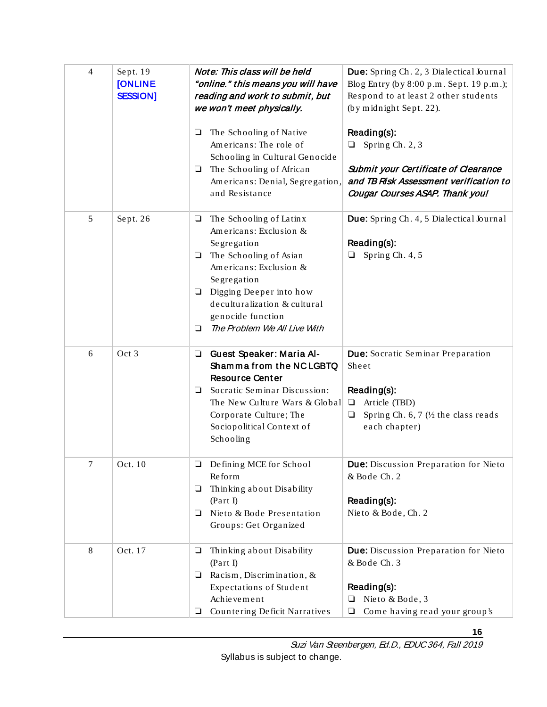| 4 | Sept. 19<br><b>[ONLINE</b><br><b>SESSION]</b> | Note: This class will be held<br>"online." this means you will have<br>reading and work to submit, but<br>we won't meet physically.                                                                                                                                          | Due: Spring Ch. 2, 3 Dialectical Journal<br>Blog Entry (by 8:00 p.m. Sept. 19 p.m.);<br>Respond to at least 2 other students<br>(by midnight Sept. 22).                     |  |
|---|-----------------------------------------------|------------------------------------------------------------------------------------------------------------------------------------------------------------------------------------------------------------------------------------------------------------------------------|-----------------------------------------------------------------------------------------------------------------------------------------------------------------------------|--|
|   |                                               | The Schooling of Native<br>$\Box$<br>Americans: The role of<br>Schooling in Cultural Genocide<br>The Schooling of African<br>⊔<br>Americans: Denial, Segregation,<br>and Resistance                                                                                          | Reading(s):<br>Spring Ch. 2, 3<br>$\Box$<br><b>Submit your Certificate of Clearance</b><br>and TB Risk Assessment verification to<br>Cougar Courses ASAP. Thank you!        |  |
| 5 | Sept. 26                                      | The Schooling of Latinx<br>$\Box$<br>Americans: Exclusion &<br>Segregation<br>The Schooling of Asian<br>⊔<br>Americans: Exclusion &<br>Segregation<br>Digging Deeper into how<br>❏<br>deculturalization & cultural<br>genocide function<br>The Problem We All Live With<br>❏ | Due: Spring Ch. 4, 5 Dialectical Journal<br>Reading(s):<br>Spring Ch. 4, 5                                                                                                  |  |
| 6 | Oct 3                                         | <b>Guest Speaker: Maria Al-</b><br>□<br>Shamma from the NC LGBTQ<br><b>Resource Center</b><br>Socratic Seminar Discussion:<br>❏<br>The New Culture Wars & Global<br>Corporate Culture; The<br>Sociopolitical Context of<br>Schooling                                         | <b>Due:</b> Socratic Seminar Preparation<br>Sheet<br>Reading(s):<br>Article (TBD)<br>$\Box$<br>Spring Ch. $6, 7$ ( $\frac{1}{2}$ the class reads<br>$\Box$<br>each chapter) |  |
| 7 | Oct. 10                                       | Defining MCE for School<br>Reform<br>Thinking about Disability<br>❏<br>(Part I)<br>Nieto & Bode Presentation<br>⊔<br>Groups: Get Organized                                                                                                                                   | Due: Discussion Preparation for Nieto<br>& Bode Ch. 2<br>Reading(s):<br>Nieto & Bode, Ch. 2                                                                                 |  |
| 8 | Oct. 17                                       | Thinking about Disability<br>⊔<br>(Part I)<br>Racism, Discrimination, $\&$<br>❏<br>Expectations of Student<br>Achievement<br>Countering Deficit Narratives<br>⊔                                                                                                              | Due: Discussion Preparation for Nieto<br>& Bode Ch. 3<br>Reading(s):<br>Nieto & Bode, 3<br>❏<br>Come having read your group's<br>$\Box$                                     |  |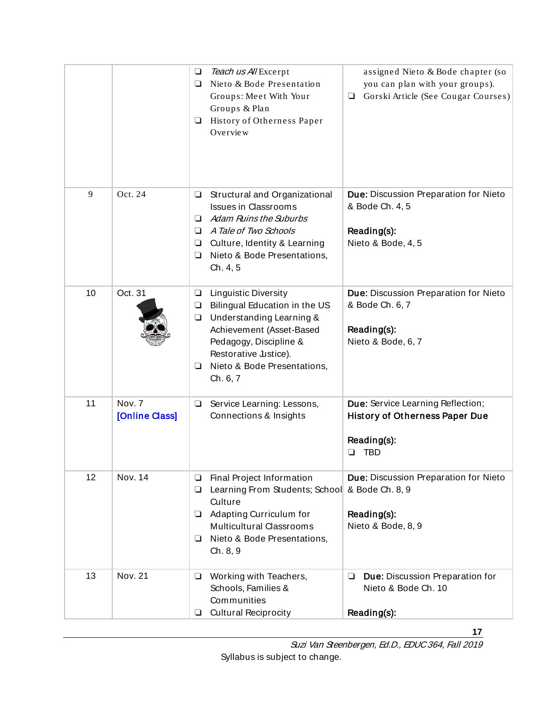|    |                          | Teach us All Excerpt<br>$\Box$<br>Nieto & Bode Presentation<br>❏<br>Groups: Meet With Your<br>Groups & Plan<br>History of Otherness Paper<br>❏<br>Overview                                                                                            | assigned Nieto & Bode chapter (so<br>you can plan with your groups).<br>Gorski Article (See Cougar Courses)<br>❏ |
|----|--------------------------|-------------------------------------------------------------------------------------------------------------------------------------------------------------------------------------------------------------------------------------------------------|------------------------------------------------------------------------------------------------------------------|
| 9  | Oct. 24                  | Structural and Organizational<br>❏<br><b>Issues in Classrooms</b><br><b>Adam Ruins the Suburbs</b><br>◻<br>A Tale of Two Schools<br>❏<br>Culture, Identity & Learning<br>❏<br>Nieto & Bode Presentations,<br>❏<br>Ch. 4, 5                            | <b>Due: Discussion Preparation for Nieto</b><br>& Bode Ch. 4, 5<br>Reading(s):<br>Nieto & Bode, 4, 5             |
| 10 | Oct. 31                  | <b>Linguistic Diversity</b><br>$\Box$<br>Bilingual Education in the US<br>$\Box$<br>Understanding Learning &<br>❏<br>Achievement (Asset-Based<br>Pedagogy, Discipline &<br>Restorative Justice).<br>Nieto & Bode Presentations,<br>$\Box$<br>Ch. 6, 7 | Due: Discussion Preparation for Nieto<br>& Bode Ch. 6, 7<br>Reading(s):<br>Nieto & Bode, 6, 7                    |
| 11 | Nov. 7<br>[Online Class] | Service Learning: Lessons,<br>$\Box$<br>Connections & Insights                                                                                                                                                                                        | Due: Service Learning Reflection;<br><b>History of Otherness Paper Due</b><br>Reading(s):<br><b>TBD</b>          |
| 12 | Nov. 14                  | Final Project Information<br>❏<br>Learning From Students; School<br>❏<br>Culture<br>Adapting Curriculum for<br>⊔<br><b>Multicultural Classrooms</b><br>Nieto & Bode Presentations,<br>❏<br>Ch. 8, 9                                                   | Due: Discussion Preparation for Nieto<br>& Bode Ch. 8, 9<br>Reading(s):<br>Nieto & Bode, 8, 9                    |
| 13 | <b>Nov. 21</b>           | Working with Teachers,<br>$\Box$<br>Schools, Families &<br>Communities<br><b>Cultural Reciprocity</b><br>❏                                                                                                                                            | Due: Discussion Preparation for<br>$\Box$<br>Nieto & Bode Ch. 10<br>Reading(s):                                  |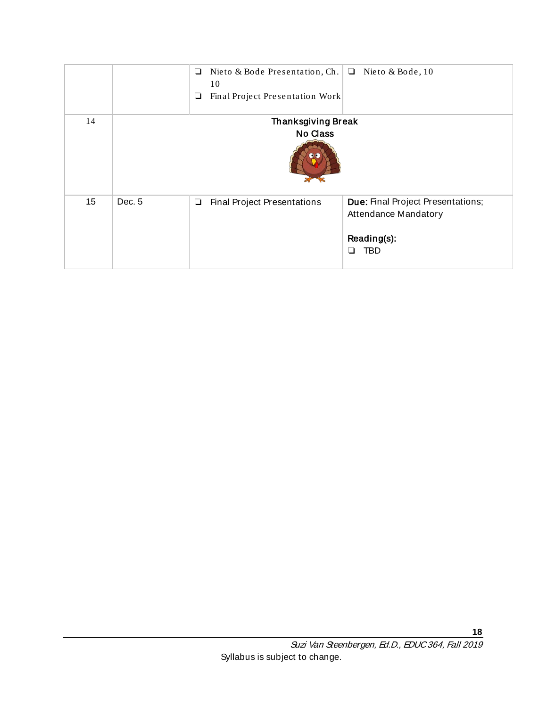<span id="page-17-0"></span>

|    |                                              | Nieto & Bode Presentation, Ch.<br>❏<br>10<br>Final Project Presentation Work<br>⊔ | Nieto & Bode, 10<br>❏                                                           |
|----|----------------------------------------------|-----------------------------------------------------------------------------------|---------------------------------------------------------------------------------|
| 14 | <b>Thanksgiving Break</b><br><b>No Class</b> |                                                                                   |                                                                                 |
| 15 | Dec. 5                                       | <b>Final Project Presentations</b><br>❏                                           | Due: Final Project Presentations;<br>Attendance Mandatory<br>Reading(s):<br>TBD |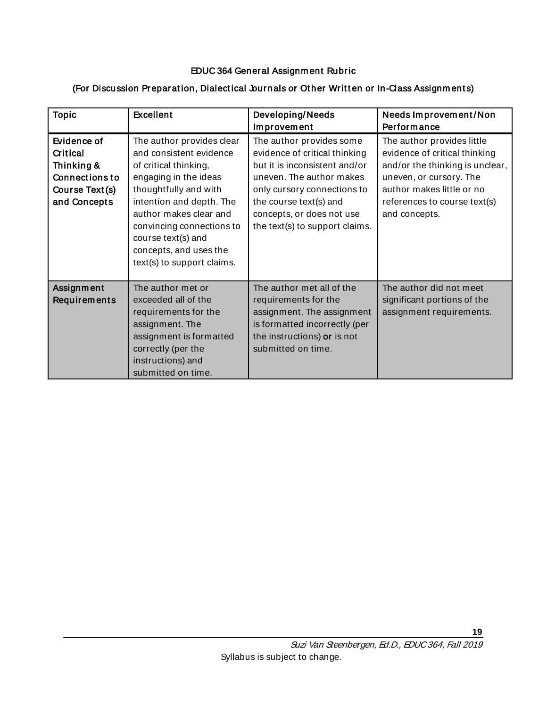## EDUC 364 General Assignm ent Rubric

| <b>Topic</b>                                                                                     | <b>Excellent</b>                                                                                                                                                                                                                                                                                 | Developing/Needs<br>Improvement                                                                                                                                                                                                                | Needs Improvement/Non<br>Performance                                                                                                                                                                    |
|--------------------------------------------------------------------------------------------------|--------------------------------------------------------------------------------------------------------------------------------------------------------------------------------------------------------------------------------------------------------------------------------------------------|------------------------------------------------------------------------------------------------------------------------------------------------------------------------------------------------------------------------------------------------|---------------------------------------------------------------------------------------------------------------------------------------------------------------------------------------------------------|
| Evidence of<br>Critical<br>Thinking &<br><b>Connections to</b><br>Course Text(s)<br>and Concepts | The author provides clear<br>and consistent evidence<br>of critical thinking,<br>engaging in the ideas<br>thoughtfully and with<br>intention and depth. The<br>author makes clear and<br>convincing connections to<br>course text(s) and<br>concepts, and uses the<br>text(s) to support claims. | The author provides some<br>evidence of critical thinking<br>but it is inconsistent and/or<br>uneven. The author makes<br>only cursory connections to<br>the course text(s) and<br>concepts, or does not use<br>the text(s) to support claims. | The author provides little<br>evidence of critical thinking<br>and/or the thinking is unclear,<br>uneven, or cursory. The<br>author makes little or no<br>references to course text(s)<br>and concepts. |
| Assignment<br>Requirements                                                                       | The author met or<br>exceeded all of the<br>requirements for the<br>assignment. The<br>assignment is formatted<br>correctly (per the<br>instructions) and<br>submitted on time.                                                                                                                  | The author met all of the<br>requirements for the<br>assignment. The assignment<br>is formatted incorrectly (per<br>the instructions) or is not<br>submitted on time.                                                                          | The author did not meet<br>significant portions of the<br>assignment requirements.                                                                                                                      |

## <span id="page-18-0"></span>(For Discussion Preparation, Dialectical Journals or Other Written or In-Class Assignments)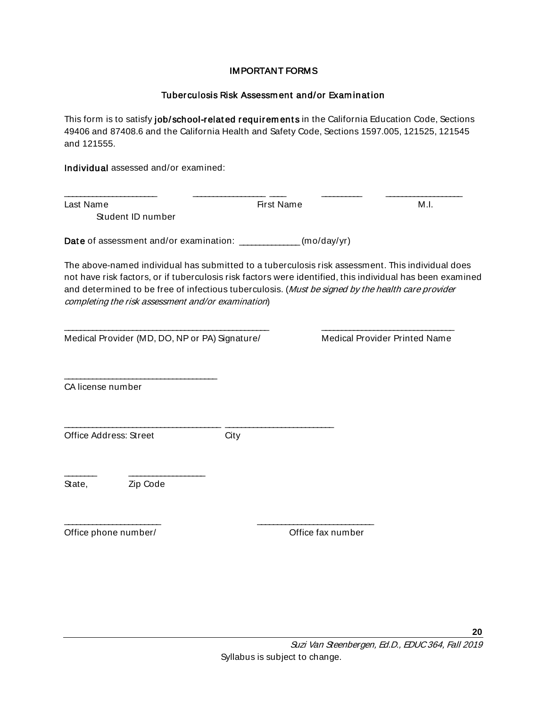#### IMPORTANT FORMS

#### Tuberculosis Risk Assessm ent and/or Exam inat ion

<span id="page-19-1"></span><span id="page-19-0"></span>This form is to satisfy job/school-related requirements in the California Education Code, Sections 49406 and 87408.6 and the California Health and Safety Code, Sections 1597.005, 121525, 121545 and 121555.

Individual assessed and/or examined:

Last Name First Name M.I. Student ID number

\_\_\_\_\_\_\_\_\_\_\_\_\_\_\_\_\_\_\_\_\_\_\_ \_\_\_\_\_\_\_\_\_\_\_\_\_\_\_\_\_\_ \_\_\_\_ \_\_\_\_\_\_\_\_\_\_ \_\_\_\_\_\_\_\_\_\_\_\_\_\_\_\_\_\_\_

Date of assessment and/or examination: \_\_\_\_\_\_\_\_\_\_\_\_\_(mo/day/yr)

The above-named individual has submitted to a tuberculosis risk assessment. This individual does not have risk factors, or if tuberculosis risk factors were identified, this individual has been examined and determined to be free of infectious tuberculosis. (Must be signed by the health care provider completing the risk assessment and/or examination)

\_\_\_\_\_\_\_\_\_\_\_\_\_\_\_\_\_\_\_\_\_\_\_\_\_\_\_\_\_\_\_\_\_\_\_\_\_\_\_\_\_\_\_\_\_\_\_\_\_\_\_ \_\_\_\_\_\_\_\_\_\_\_\_\_\_\_\_\_\_\_\_\_\_\_\_\_\_\_\_\_\_\_\_\_

Medical Provider (MD, DO, NP or PA) Signature/ Medical Provider Printed Name

\_\_\_\_\_\_\_\_\_\_\_\_\_\_\_\_\_\_\_\_\_\_\_\_\_\_\_\_\_\_\_\_\_\_\_\_\_\_

CA license number

Office Address: Street City

\_\_\_\_\_\_\_\_\_\_\_\_\_\_\_\_\_\_\_\_\_\_\_\_ \_\_\_\_\_\_\_\_\_\_\_\_\_\_\_\_\_\_\_\_\_\_\_\_\_\_\_\_\_

\_\_\_\_\_\_\_\_\_\_\_\_\_\_\_\_\_\_\_\_\_\_\_\_\_\_\_\_\_\_\_\_\_\_\_\_\_\_\_ \_\_\_\_\_\_\_\_\_\_\_\_\_\_\_\_\_\_\_\_\_\_\_\_\_\_\_

State, Zip Code

\_\_\_\_\_\_\_\_ \_\_\_\_\_\_\_\_\_\_\_\_\_\_\_\_\_\_\_

<span id="page-19-2"></span>Office phone number/ Common Common Contract Common Common Common Common Common Common Common Common Common Common Common Common Common Common Common Common Common Common Common Common Common Common Common Common Common Com